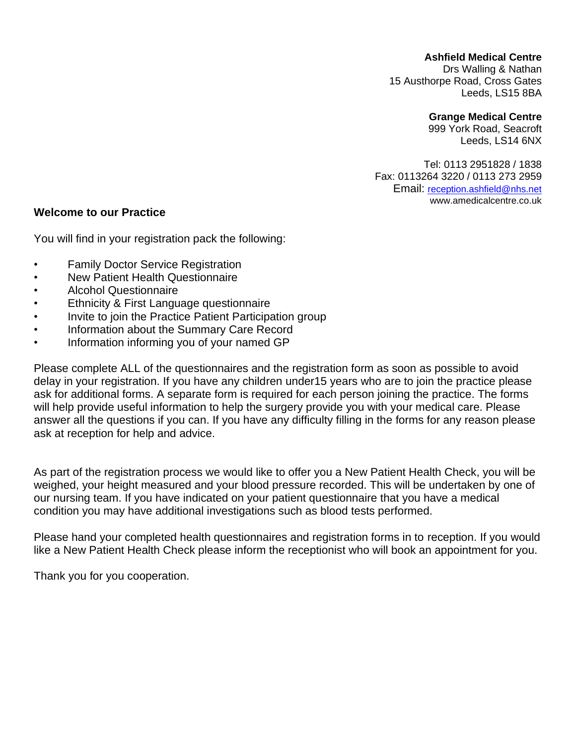#### **Ashfield Medical Centre**

Drs Walling & Nathan 15 Austhorpe Road, Cross Gates Leeds, LS15 8BA

#### **Grange Medical Centre**

999 York Road, Seacroft Leeds, LS14 6NX

Tel: 0113 2951828 / 1838 Fax: 0113264 3220 / 0113 273 2959 Email: [reception.ashfield@nhs.net](mailto:reception.ashfield@nhs.net) www.amedicalcentre.co.uk

#### **Welcome to our Practice**

You will find in your registration pack the following:

- Family Doctor Service Registration
- New Patient Health Questionnaire
- Alcohol Questionnaire
- Ethnicity & First Language questionnaire
- Invite to join the Practice Patient Participation group
- Information about the Summary Care Record
- Information informing you of your named GP

Please complete ALL of the questionnaires and the registration form as soon as possible to avoid delay in your registration. If you have any children under15 years who are to join the practice please ask for additional forms. A separate form is required for each person joining the practice. The forms will help provide useful information to help the surgery provide you with your medical care. Please answer all the questions if you can. If you have any difficulty filling in the forms for any reason please ask at reception for help and advice.

As part of the registration process we would like to offer you a New Patient Health Check, you will be weighed, your height measured and your blood pressure recorded. This will be undertaken by one of our nursing team. If you have indicated on your patient questionnaire that you have a medical condition you may have additional investigations such as blood tests performed.

Please hand your completed health questionnaires and registration forms in to reception. If you would like a New Patient Health Check please inform the receptionist who will book an appointment for you.

Thank you for you cooperation.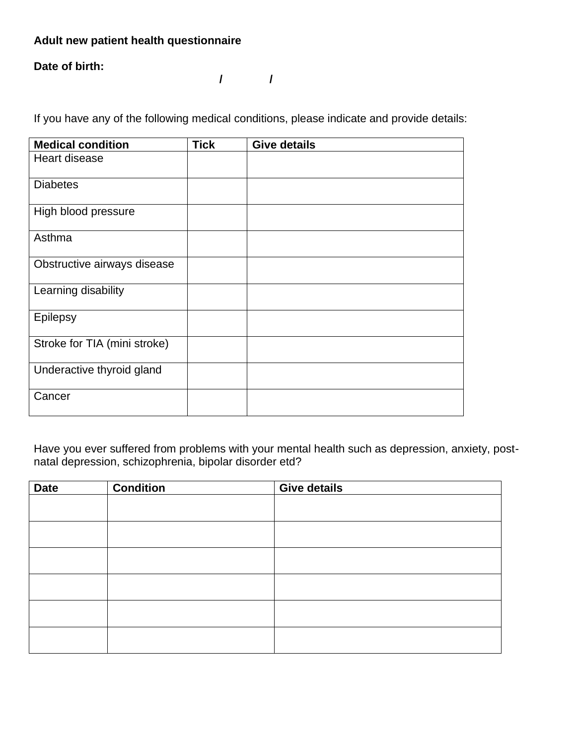## **Adult new patient health questionnaire**

#### **Date of birth:**

**/ /**

If you have any of the following medical conditions, please indicate and provide details:

| <b>Medical condition</b>     | <b>Tick</b> | <b>Give details</b> |
|------------------------------|-------------|---------------------|
| Heart disease                |             |                     |
| <b>Diabetes</b>              |             |                     |
| High blood pressure          |             |                     |
| Asthma                       |             |                     |
| Obstructive airways disease  |             |                     |
| Learning disability          |             |                     |
| Epilepsy                     |             |                     |
| Stroke for TIA (mini stroke) |             |                     |
| Underactive thyroid gland    |             |                     |
| Cancer                       |             |                     |

Have you ever suffered from problems with your mental health such as depression, anxiety, postnatal depression, schizophrenia, bipolar disorder etd?

| <b>Date</b> | <b>Condition</b> | <b>Give details</b> |
|-------------|------------------|---------------------|
|             |                  |                     |
|             |                  |                     |
|             |                  |                     |
|             |                  |                     |
|             |                  |                     |
|             |                  |                     |
|             |                  |                     |
|             |                  |                     |
|             |                  |                     |
|             |                  |                     |
|             |                  |                     |
|             |                  |                     |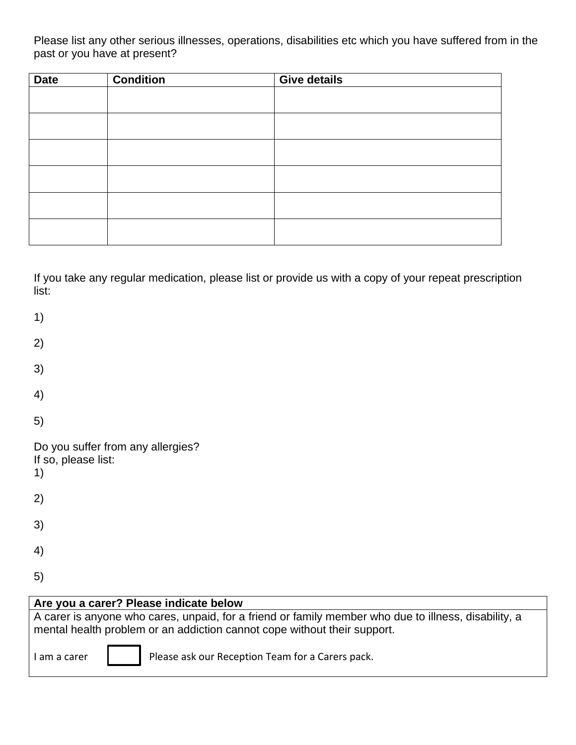Please list any other serious illnesses, operations, disabilities etc which you have suffered from in the past or you have at present?

| <b>Date</b> | <b>Condition</b> | <b>Give details</b> |
|-------------|------------------|---------------------|
|             |                  |                     |
|             |                  |                     |
|             |                  |                     |
|             |                  |                     |
|             |                  |                     |
|             |                  |                     |
|             |                  |                     |
|             |                  |                     |
|             |                  |                     |
|             |                  |                     |
|             |                  |                     |
|             |                  |                     |

If you take any regular medication, please list or provide us with a copy of your repeat prescription list:

| 1)                                                                                                                                                                               |
|----------------------------------------------------------------------------------------------------------------------------------------------------------------------------------|
| 2)                                                                                                                                                                               |
| 3)                                                                                                                                                                               |
| 4)                                                                                                                                                                               |
| 5)                                                                                                                                                                               |
| Do you suffer from any allergies?<br>If so, please list:<br>1)                                                                                                                   |
| 2)                                                                                                                                                                               |
| 3)                                                                                                                                                                               |
| 4)                                                                                                                                                                               |
| 5)                                                                                                                                                                               |
| Are you a carer? Please indicate below                                                                                                                                           |
| A carer is anyone who cares, unpaid, for a friend or family member who due to illness, disability, a<br>mental health problem or an addiction cannot cope without their support. |
| Please ask our Reception Team for a Carers pack.<br>I am a carer                                                                                                                 |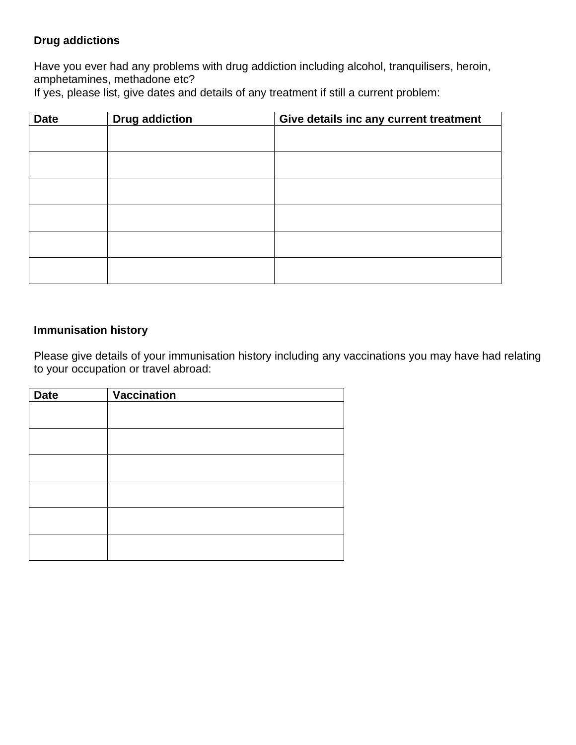## **Drug addictions**

Have you ever had any problems with drug addiction including alcohol, tranquilisers, heroin, amphetamines, methadone etc?

If yes, please list, give dates and details of any treatment if still a current problem:

| <b>Date</b> | <b>Drug addiction</b> | Give details inc any current treatment |  |  |  |  |
|-------------|-----------------------|----------------------------------------|--|--|--|--|
|             |                       |                                        |  |  |  |  |
|             |                       |                                        |  |  |  |  |
|             |                       |                                        |  |  |  |  |
|             |                       |                                        |  |  |  |  |
|             |                       |                                        |  |  |  |  |
|             |                       |                                        |  |  |  |  |
|             |                       |                                        |  |  |  |  |
|             |                       |                                        |  |  |  |  |

### **Immunisation history**

Please give details of your immunisation history including any vaccinations you may have had relating to your occupation or travel abroad:

| <b>Date</b> | Vaccination |
|-------------|-------------|
|             |             |
|             |             |
|             |             |
|             |             |
|             |             |
|             |             |
|             |             |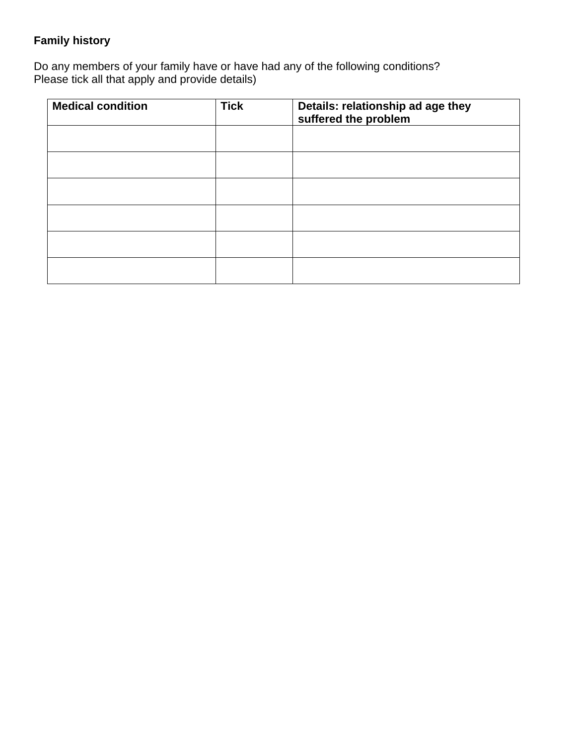# **Family history**

Do any members of your family have or have had any of the following conditions? Please tick all that apply and provide details)

| <b>Medical condition</b> | <b>Tick</b> | Details: relationship ad age they<br>suffered the problem |
|--------------------------|-------------|-----------------------------------------------------------|
|                          |             |                                                           |
|                          |             |                                                           |
|                          |             |                                                           |
|                          |             |                                                           |
|                          |             |                                                           |
|                          |             |                                                           |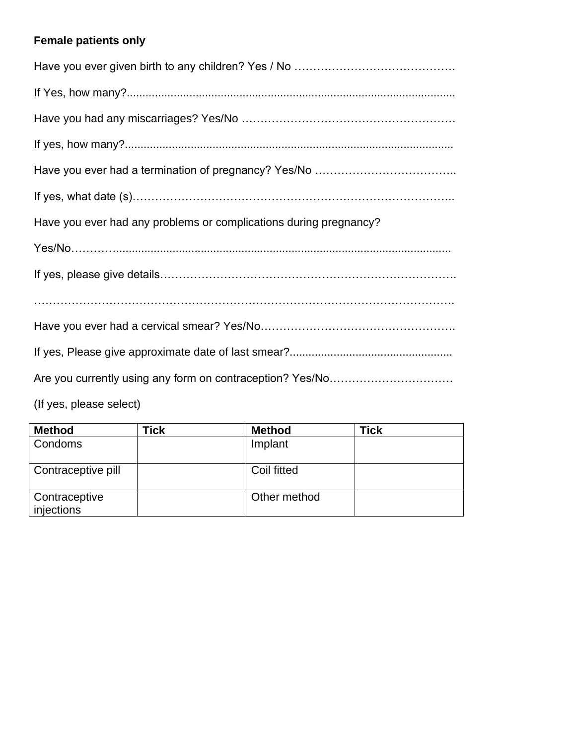# **Female patients only**

| Have you ever had any problems or complications during pregnancy? |
|-------------------------------------------------------------------|
|                                                                   |
|                                                                   |
|                                                                   |
|                                                                   |
|                                                                   |
|                                                                   |
|                                                                   |

| <b>Method</b>               | Tick | <b>Method</b> | <b>Tick</b> |
|-----------------------------|------|---------------|-------------|
| Condoms                     |      | Implant       |             |
| Contraceptive pill          |      | Coil fitted   |             |
| Contraceptive<br>injections |      | Other method  |             |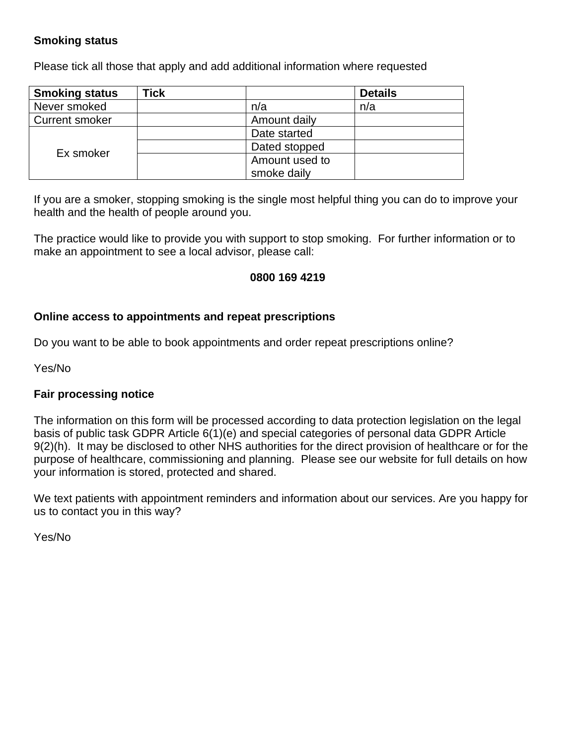## **Smoking status**

Please tick all those that apply and add additional information where requested

| <b>Smoking status</b> | <b>Tick</b> |                | <b>Details</b> |
|-----------------------|-------------|----------------|----------------|
| Never smoked          |             | n/a            | n/a            |
| <b>Current smoker</b> |             | Amount daily   |                |
|                       |             | Date started   |                |
| Ex smoker             |             | Dated stopped  |                |
|                       |             | Amount used to |                |
|                       |             | smoke daily    |                |

If you are a smoker, stopping smoking is the single most helpful thing you can do to improve your health and the health of people around you.

The practice would like to provide you with support to stop smoking. For further information or to make an appointment to see a local advisor, please call:

#### **0800 169 4219**

#### **Online access to appointments and repeat prescriptions**

Do you want to be able to book appointments and order repeat prescriptions online?

Yes/No

#### **Fair processing notice**

The information on this form will be processed according to data protection legislation on the legal basis of public task GDPR Article 6(1)(e) and special categories of personal data GDPR Article 9(2)(h). It may be disclosed to other NHS authorities for the direct provision of healthcare or for the purpose of healthcare, commissioning and planning. Please see our website for full details on how your information is stored, protected and shared.

We text patients with appointment reminders and information about our services. Are you happy for us to contact you in this way?

Yes/No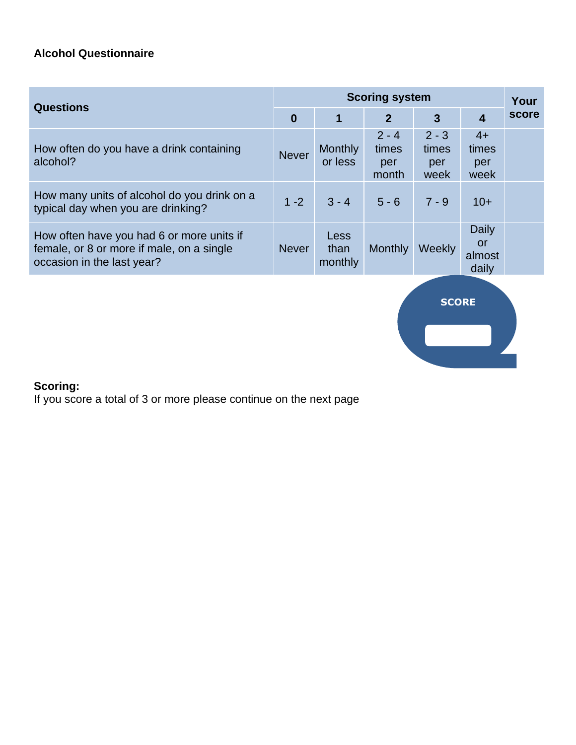# **Alcohol Questionnaire**

| <b>Scoring system</b> |                                |                                  |                                 |                                       | Your  |
|-----------------------|--------------------------------|----------------------------------|---------------------------------|---------------------------------------|-------|
| $\bf{0}$              | 1                              | $\overline{2}$                   | $\overline{3}$                  | $\overline{4}$                        | score |
| <b>Never</b>          | <b>Monthly</b><br>or less      | $2 - 4$<br>times<br>per<br>month | $2 - 3$<br>times<br>per<br>week | $4+$<br>times<br>per<br>week          |       |
| $1 - 2$               | $3 - 4$                        | $5 - 6$                          | $7 - 9$                         | $10+$                                 |       |
| <b>Never</b>          | <b>Less</b><br>than<br>monthly | <b>Monthly</b>                   | Weekly                          | Daily<br><b>or</b><br>almost<br>daily |       |
|                       |                                |                                  |                                 |                                       |       |



# **Scoring:**

If you score a total of 3 or more please continue on the next page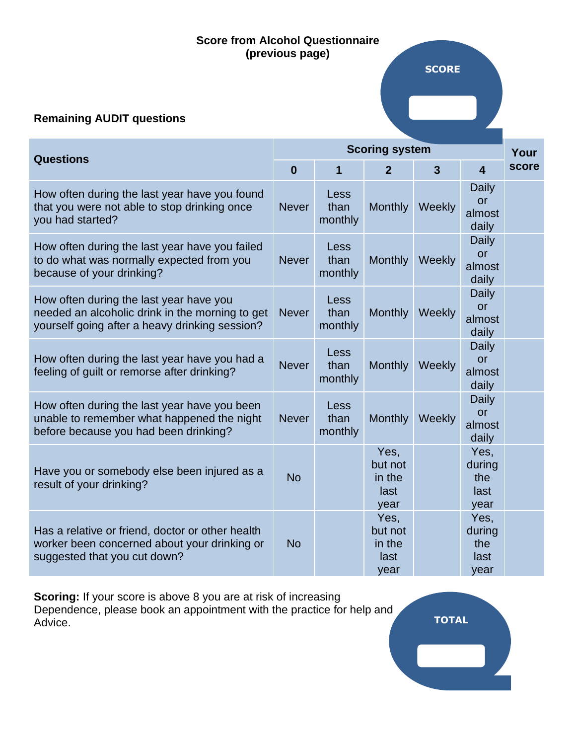### **Score from Alcohol Questionnaire (previous page)**

## **Remaining AUDIT questions**

| <b>Questions</b>                                                                                                                             |              | <b>Scoring system</b>   |                                           |                |                                              |       |
|----------------------------------------------------------------------------------------------------------------------------------------------|--------------|-------------------------|-------------------------------------------|----------------|----------------------------------------------|-------|
|                                                                                                                                              |              | 1                       | $\overline{2}$                            | $\overline{3}$ | $\overline{\mathbf{4}}$                      | score |
| How often during the last year have you found<br>that you were not able to stop drinking once<br>you had started?                            | <b>Never</b> | Less<br>than<br>monthly | <b>Monthly</b>                            | Weekly         | <b>Daily</b><br>or<br>almost<br>daily        |       |
| How often during the last year have you failed<br>to do what was normally expected from you<br>because of your drinking?                     | <b>Never</b> | Less<br>than<br>monthly | <b>Monthly</b>                            | Weekly         | <b>Daily</b><br><b>or</b><br>almost<br>daily |       |
| How often during the last year have you<br>needed an alcoholic drink in the morning to get<br>yourself going after a heavy drinking session? | <b>Never</b> | Less<br>than<br>monthly | <b>Monthly</b>                            | Weekly         | <b>Daily</b><br>or<br>almost<br>daily        |       |
| How often during the last year have you had a<br>feeling of guilt or remorse after drinking?                                                 | <b>Never</b> | Less<br>than<br>monthly | <b>Monthly</b>                            | Weekly         | <b>Daily</b><br><u>or</u><br>almost<br>daily |       |
| How often during the last year have you been<br>unable to remember what happened the night<br>before because you had been drinking?          | <b>Never</b> | Less<br>than<br>monthly | <b>Monthly</b>                            | Weekly         | <b>Daily</b><br><b>or</b><br>almost<br>daily |       |
| Have you or somebody else been injured as a<br>result of your drinking?                                                                      | <b>No</b>    |                         | Yes,<br>but not<br>in the<br>last<br>year |                | Yes,<br>during<br>the<br>last<br>year        |       |
| Has a relative or friend, doctor or other health<br>worker been concerned about your drinking or<br>suggested that you cut down?             | <b>No</b>    |                         | Yes,<br>but not<br>in the<br>last<br>year |                | Yes,<br>during<br>the<br>last<br>year        |       |

**Scoring:** If your score is above 8 you are at risk of increasing Dependence, please book an appointment with the practice for help and Advice. **TOTAL**

**SCORE**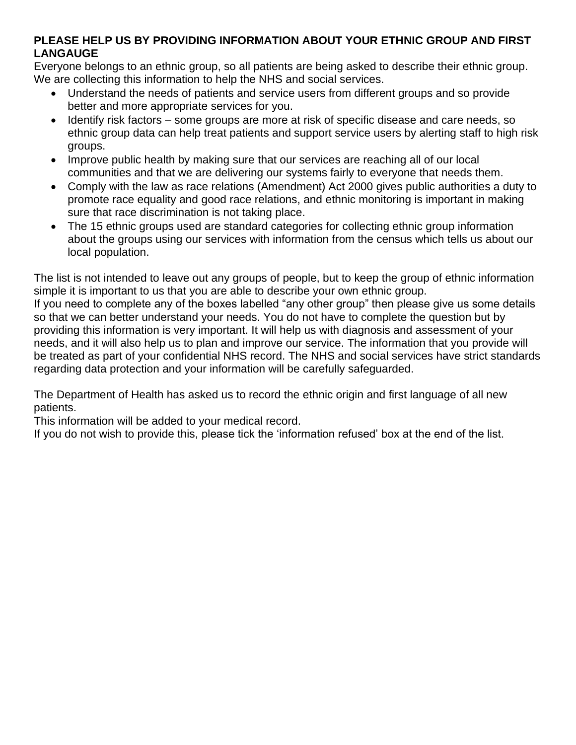### **PLEASE HELP US BY PROVIDING INFORMATION ABOUT YOUR ETHNIC GROUP AND FIRST LANGAUGE**

Everyone belongs to an ethnic group, so all patients are being asked to describe their ethnic group. We are collecting this information to help the NHS and social services.

- Understand the needs of patients and service users from different groups and so provide better and more appropriate services for you.
- Identify risk factors some groups are more at risk of specific disease and care needs, so ethnic group data can help treat patients and support service users by alerting staff to high risk groups.
- Improve public health by making sure that our services are reaching all of our local communities and that we are delivering our systems fairly to everyone that needs them.
- Comply with the law as race relations (Amendment) Act 2000 gives public authorities a duty to promote race equality and good race relations, and ethnic monitoring is important in making sure that race discrimination is not taking place.
- The 15 ethnic groups used are standard categories for collecting ethnic group information about the groups using our services with information from the census which tells us about our local population.

The list is not intended to leave out any groups of people, but to keep the group of ethnic information simple it is important to us that you are able to describe your own ethnic group.

If you need to complete any of the boxes labelled "any other group" then please give us some details so that we can better understand your needs. You do not have to complete the question but by providing this information is very important. It will help us with diagnosis and assessment of your needs, and it will also help us to plan and improve our service. The information that you provide will be treated as part of your confidential NHS record. The NHS and social services have strict standards regarding data protection and your information will be carefully safeguarded.

The Department of Health has asked us to record the ethnic origin and first language of all new patients.

This information will be added to your medical record.

If you do not wish to provide this, please tick the 'information refused' box at the end of the list.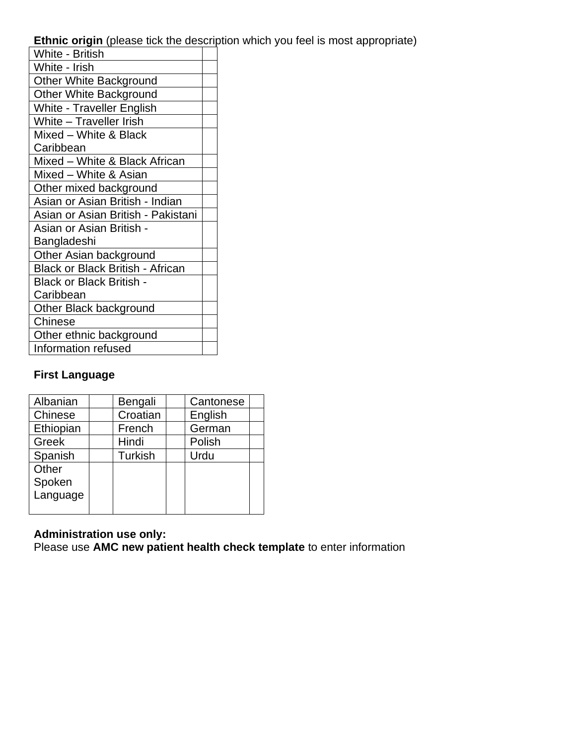**Ethnic origin** (please tick the description which you feel is most appropriate)

| White - British                         |  |
|-----------------------------------------|--|
| White - Irish                           |  |
| <b>Other White Background</b>           |  |
| <b>Other White Background</b>           |  |
| <b>White - Traveller English</b>        |  |
| White - Traveller Irish                 |  |
| Mixed - White & Black                   |  |
| Caribbean                               |  |
| Mixed - White & Black African           |  |
| Mixed - White & Asian                   |  |
| Other mixed background                  |  |
| Asian or Asian British - Indian         |  |
| Asian or Asian British - Pakistani      |  |
| Asian or Asian British -                |  |
| Bangladeshi                             |  |
| Other Asian background                  |  |
| <b>Black or Black British - African</b> |  |
| <b>Black or Black British -</b>         |  |
| Caribbean                               |  |
| Other Black background                  |  |
| Chinese                                 |  |
| Other ethnic background                 |  |
| <b>Information refused</b>              |  |

# **First Language**

| Albanian  | Bengali        | Cantonese |  |
|-----------|----------------|-----------|--|
| Chinese   | Croatian       | English   |  |
| Ethiopian | French         | German    |  |
| Greek     | Hindi          | Polish    |  |
| Spanish   | <b>Turkish</b> | Urdu      |  |
| Other     |                |           |  |
| Spoken    |                |           |  |
| Language  |                |           |  |
|           |                |           |  |

## **Administration use only:**

Please use **AMC new patient health check template** to enter information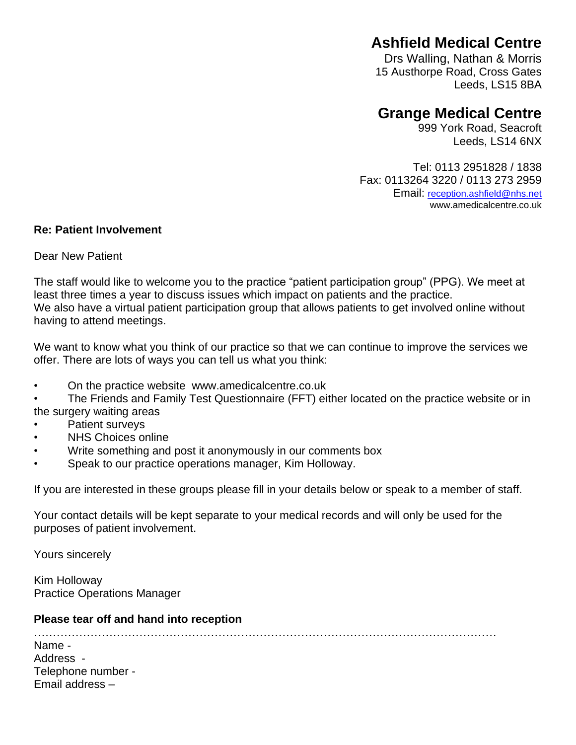# **Ashfield Medical Centre**

Drs Walling, Nathan & Morris 15 Austhorpe Road, Cross Gates Leeds, LS15 8BA

# **Grange Medical Centre**

999 York Road, Seacroft Leeds, LS14 6NX

Tel: 0113 2951828 / 1838 Fax: 0113264 3220 / 0113 273 2959 Email: [reception.ashfield@nhs.net](mailto:reception.ashfield@nhs.net) www.amedicalcentre.co.uk

#### **Re: Patient Involvement**

Dear New Patient

The staff would like to welcome you to the practice "patient participation group" (PPG). We meet at least three times a year to discuss issues which impact on patients and the practice. We also have a virtual patient participation group that allows patients to get involved online without having to attend meetings.

We want to know what you think of our practice so that we can continue to improve the services we offer. There are lots of ways you can tell us what you think:

• On the practice website www.amedicalcentre.co.uk

• The Friends and Family Test Questionnaire (FFT) either located on the practice website or in the surgery waiting areas

- Patient surveys
- NHS Choices online
- Write something and post it anonymously in our comments box
- Speak to our practice operations manager, Kim Holloway.

If you are interested in these groups please fill in your details below or speak to a member of staff.

Your contact details will be kept separate to your medical records and will only be used for the purposes of patient involvement.

Yours sincerely

Kim Holloway Practice Operations Manager

#### **Please tear off and hand into reception**

……………………………………………………………………………………………………………

| Name -             |
|--------------------|
| Address -          |
| Telephone number - |
| Email address -    |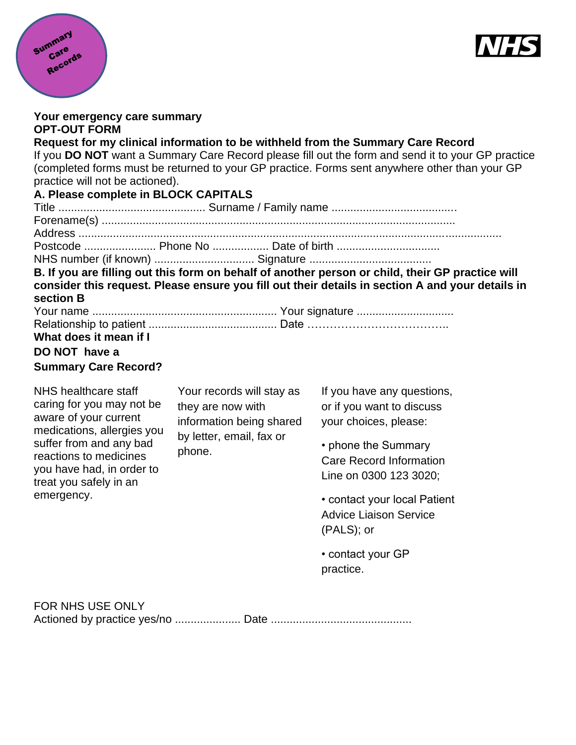



| Your emergency care summary<br><b>OPT-OUT FORM</b>                      |                                                                                                                  |                                                                                                                                                                                                                                                                                       |
|-------------------------------------------------------------------------|------------------------------------------------------------------------------------------------------------------|---------------------------------------------------------------------------------------------------------------------------------------------------------------------------------------------------------------------------------------------------------------------------------------|
| practice will not be actioned).<br>A. Please complete in BLOCK CAPITALS |                                                                                                                  | Request for my clinical information to be withheld from the Summary Care Record<br>If you DO NOT want a Summary Care Record please fill out the form and send it to your GP practice<br>(completed forms must be returned to your GP practice. Forms sent anywhere other than your GP |
|                                                                         |                                                                                                                  |                                                                                                                                                                                                                                                                                       |
|                                                                         |                                                                                                                  |                                                                                                                                                                                                                                                                                       |
|                                                                         | Postcode  Phone No  Date of birth                                                                                |                                                                                                                                                                                                                                                                                       |
|                                                                         |                                                                                                                  |                                                                                                                                                                                                                                                                                       |
| section B                                                               |                                                                                                                  | B. If you are filling out this form on behalf of another person or child, their GP practice will<br>consider this request. Please ensure you fill out their details in section A and your details in                                                                                  |
|                                                                         |                                                                                                                  |                                                                                                                                                                                                                                                                                       |
| What does it mean if I                                                  |                                                                                                                  |                                                                                                                                                                                                                                                                                       |
| DO NOT have a                                                           |                                                                                                                  |                                                                                                                                                                                                                                                                                       |
| <b>Summary Care Record?</b>                                             |                                                                                                                  |                                                                                                                                                                                                                                                                                       |
| NHS healthcare staff                                                    | Your records will stay as<br>they are now with<br>information being shared<br>by letter, email, fax or<br>phone. | If you have any questions,                                                                                                                                                                                                                                                            |
| caring for you may not be<br>aware of your current                      |                                                                                                                  | or if you want to discuss                                                                                                                                                                                                                                                             |
| medications, allergies you                                              |                                                                                                                  | your choices, please:                                                                                                                                                                                                                                                                 |
| suffer from and any bad                                                 |                                                                                                                  | • phone the Summary                                                                                                                                                                                                                                                                   |
| reactions to medicines                                                  |                                                                                                                  | <b>Care Record Information</b>                                                                                                                                                                                                                                                        |
| you have had, in order to<br>treat you safely in an                     |                                                                                                                  | Line on 0300 123 3020;                                                                                                                                                                                                                                                                |
| emergency.                                                              |                                                                                                                  | • contact your local Patient                                                                                                                                                                                                                                                          |
|                                                                         |                                                                                                                  | <b>Advice Liaison Service</b>                                                                                                                                                                                                                                                         |
|                                                                         |                                                                                                                  | (PALS); or                                                                                                                                                                                                                                                                            |
|                                                                         |                                                                                                                  | • contact your GP                                                                                                                                                                                                                                                                     |
|                                                                         |                                                                                                                  | practice.                                                                                                                                                                                                                                                                             |
| <b>FOR NHS USE ONLY</b>                                                 |                                                                                                                  |                                                                                                                                                                                                                                                                                       |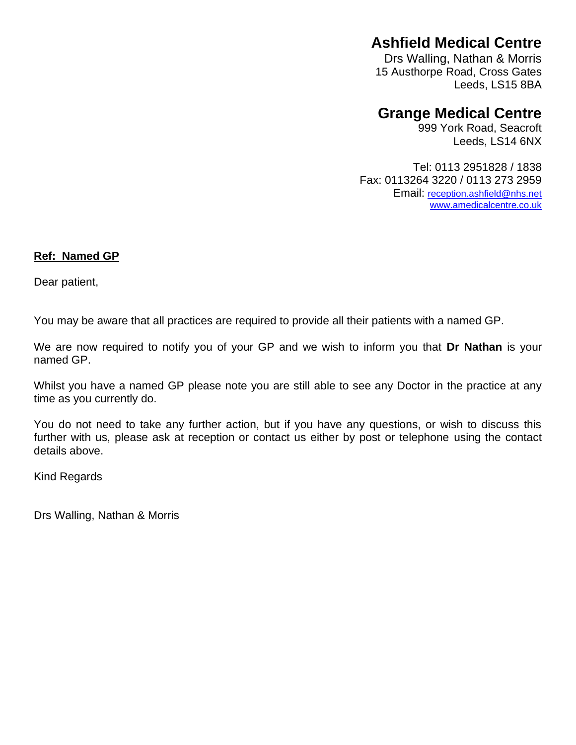# **Ashfield Medical Centre**

Drs Walling, Nathan & Morris 15 Austhorpe Road, Cross Gates Leeds, LS15 8BA

# **Grange Medical Centre**

999 York Road, Seacroft Leeds, LS14 6NX

Tel: 0113 2951828 / 1838 Fax: 0113264 3220 / 0113 273 2959 Email: [reception.ashfield@nhs.net](mailto:reception.ashfield@nhs.net) [www.amedicalcentre.co.uk](http://www.amedicalcentre.co.uk/)

#### **Ref: Named GP**

Dear patient,

You may be aware that all practices are required to provide all their patients with a named GP.

We are now required to notify you of your GP and we wish to inform you that **Dr Nathan** is your named GP.

Whilst you have a named GP please note you are still able to see any Doctor in the practice at any time as you currently do.

You do not need to take any further action, but if you have any questions, or wish to discuss this further with us, please ask at reception or contact us either by post or telephone using the contact details above.

Kind Regards

Drs Walling, Nathan & Morris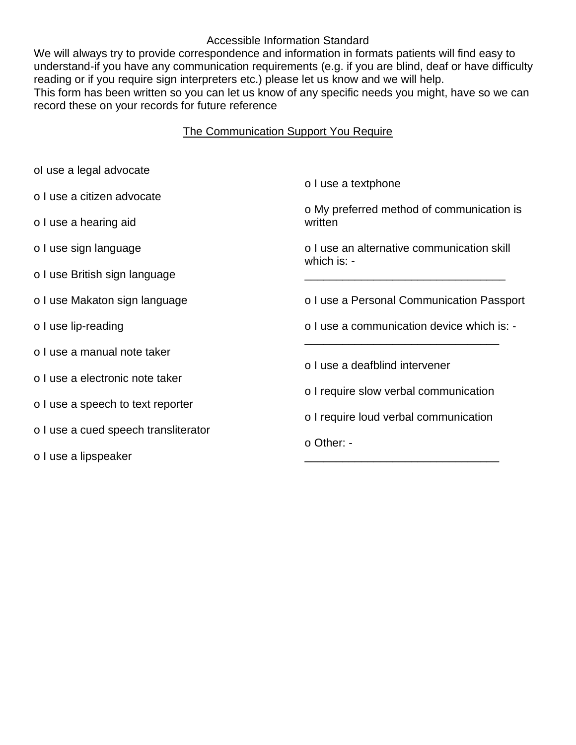#### Accessible Information Standard

We will always try to provide correspondence and information in formats patients will find easy to understand-if you have any communication requirements (e.g. if you are blind, deaf or have difficulty reading or if you require sign interpreters etc.) please let us know and we will help. This form has been written so you can let us know of any specific needs you might, have so we can record these on your records for future reference

## The Communication Support You Require

| ol use a legal advocate              | o I use a textphone                                                            |  |  |
|--------------------------------------|--------------------------------------------------------------------------------|--|--|
| o I use a citizen advocate           |                                                                                |  |  |
| o I use a hearing aid                | o My preferred method of communication is<br>written                           |  |  |
| o I use sign language                | o I use an alternative communication skill<br>which is: -                      |  |  |
| o I use British sign language        |                                                                                |  |  |
| o I use Makaton sign language        | o I use a Personal Communication Passport                                      |  |  |
| o I use lip-reading                  | o I use a communication device which is: -                                     |  |  |
| o I use a manual note taker          | o I use a deafblind intervener                                                 |  |  |
| o I use a electronic note taker      |                                                                                |  |  |
| o I use a speech to text reporter    | o I require slow verbal communication<br>o I require loud verbal communication |  |  |
| o I use a cued speech transliterator |                                                                                |  |  |
| o I use a lipspeaker                 | o Other: -                                                                     |  |  |
|                                      |                                                                                |  |  |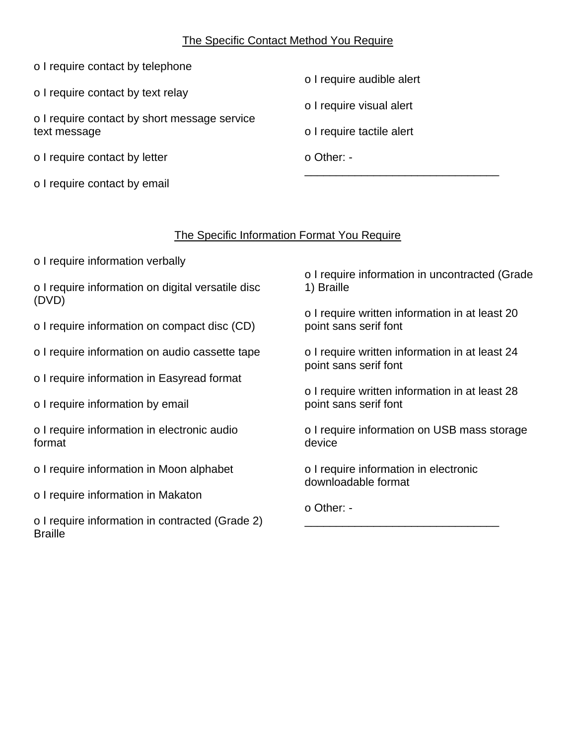#### The Specific Contact Method You Require

| o I require contact by telephone |  |
|----------------------------------|--|
|----------------------------------|--|

o I require contact by text relay

o I require contact by short message service text message

o I require contact by letter

o I require contact by email

o I require audible alert

o I require visual alert

o I require tactile alert

o Other: - \_\_\_\_\_\_\_\_\_\_\_\_\_\_\_\_\_\_\_\_\_\_\_\_\_\_\_\_\_\_\_

## The Specific Information Format You Require

o I require information verbally

o I require information on digital versatile disc (DVD)

o I require information on compact disc (CD)

o I require information on audio cassette tape

o I require information in Easyread format

o I require information by email

o I require information in electronic audio format

o I require information in Moon alphabet

o I require information in Makaton

o I require information in contracted (Grade 2) **Braille** 

o I require information in uncontracted (Grade 1) Braille

o I require written information in at least 20 point sans serif font

o I require written information in at least 24 point sans serif font

o I require written information in at least 28 point sans serif font

o I require information on USB mass storage device

o I require information in electronic downloadable format

\_\_\_\_\_\_\_\_\_\_\_\_\_\_\_\_\_\_\_\_\_\_\_\_\_\_\_\_\_\_\_

o Other: -